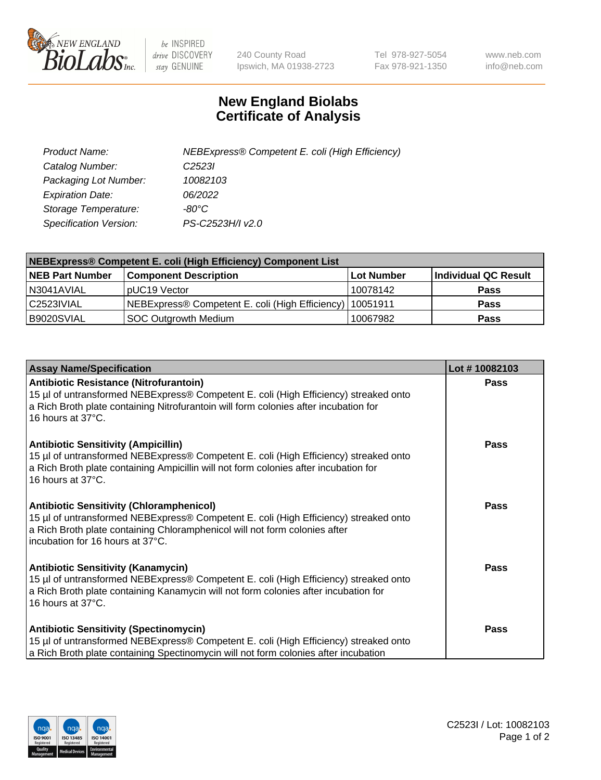

 $be$  INSPIRED drive DISCOVERY stay GENUINE

240 County Road Ipswich, MA 01938-2723 Tel 978-927-5054 Fax 978-921-1350 www.neb.com info@neb.com

## **New England Biolabs Certificate of Analysis**

| Product Name:           | NEBExpress® Competent E. coli (High Efficiency) |
|-------------------------|-------------------------------------------------|
| Catalog Number:         | C <sub>2523</sub>                               |
| Packaging Lot Number:   | 10082103                                        |
| <b>Expiration Date:</b> | 06/2022                                         |
| Storage Temperature:    | -80°C                                           |
| Specification Version:  | PS-C2523H/I v2.0                                |

| <b>NEBExpress® Competent E. coli (High Efficiency) Component List</b> |                                                            |                   |                      |  |
|-----------------------------------------------------------------------|------------------------------------------------------------|-------------------|----------------------|--|
| <b>NEB Part Number</b>                                                | <b>Component Description</b>                               | <b>Lot Number</b> | Individual QC Result |  |
| N3041AVIAL                                                            | pUC19 Vector                                               | 10078142          | <b>Pass</b>          |  |
| C2523IVIAL                                                            | NEBExpress® Competent E. coli (High Efficiency)   10051911 |                   | <b>Pass</b>          |  |
| B9020SVIAL                                                            | <b>SOC Outgrowth Medium</b>                                | 10067982          | <b>Pass</b>          |  |

| <b>Assay Name/Specification</b>                                                                                                                                                                                                                           | Lot #10082103 |
|-----------------------------------------------------------------------------------------------------------------------------------------------------------------------------------------------------------------------------------------------------------|---------------|
| Antibiotic Resistance (Nitrofurantoin)<br>15 µl of untransformed NEBExpress® Competent E. coli (High Efficiency) streaked onto<br>a Rich Broth plate containing Nitrofurantoin will form colonies after incubation for<br>16 hours at 37°C.               | Pass          |
| <b>Antibiotic Sensitivity (Ampicillin)</b><br>15 µl of untransformed NEBExpress® Competent E. coli (High Efficiency) streaked onto<br>a Rich Broth plate containing Ampicillin will not form colonies after incubation for<br>16 hours at 37°C.           | Pass          |
| <b>Antibiotic Sensitivity (Chloramphenicol)</b><br>15 µl of untransformed NEBExpress® Competent E. coli (High Efficiency) streaked onto<br>a Rich Broth plate containing Chloramphenicol will not form colonies after<br>incubation for 16 hours at 37°C. | Pass          |
| <b>Antibiotic Sensitivity (Kanamycin)</b><br>15 µl of untransformed NEBExpress® Competent E. coli (High Efficiency) streaked onto<br>a Rich Broth plate containing Kanamycin will not form colonies after incubation for<br>16 hours at 37°C.             | Pass          |
| <b>Antibiotic Sensitivity (Spectinomycin)</b><br>15 µl of untransformed NEBExpress® Competent E. coli (High Efficiency) streaked onto<br>a Rich Broth plate containing Spectinomycin will not form colonies after incubation                              | Pass          |